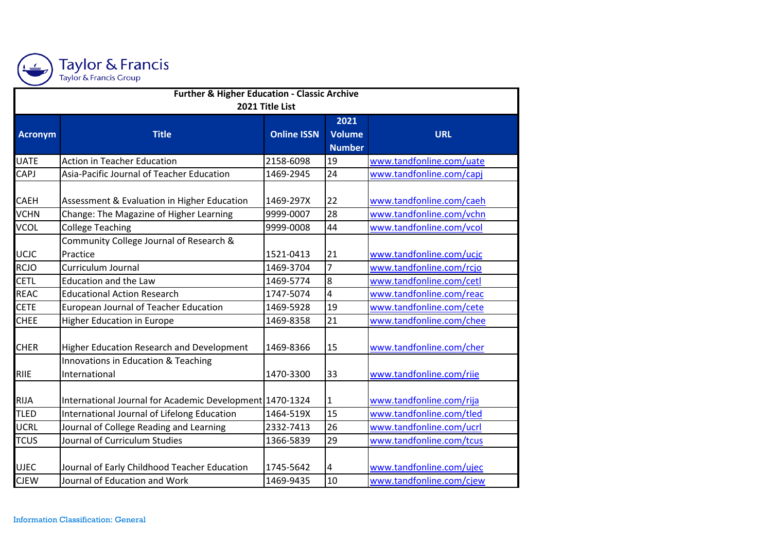

| <b>Further &amp; Higher Education - Classic Archive</b> |                                                          |                    |                |                          |  |  |  |  |
|---------------------------------------------------------|----------------------------------------------------------|--------------------|----------------|--------------------------|--|--|--|--|
| 2021 Title List                                         |                                                          |                    |                |                          |  |  |  |  |
|                                                         |                                                          |                    | 2021           |                          |  |  |  |  |
| <b>Acronym</b>                                          | <b>Title</b>                                             | <b>Online ISSN</b> | <b>Volume</b>  | <b>URL</b>               |  |  |  |  |
|                                                         |                                                          |                    | <b>Number</b>  |                          |  |  |  |  |
| <b>UATE</b>                                             | <b>Action in Teacher Education</b>                       | 2158-6098          | 19             | www.tandfonline.com/uate |  |  |  |  |
| CAPJ                                                    | Asia-Pacific Journal of Teacher Education                | 1469-2945          | 24             | www.tandfonline.com/capj |  |  |  |  |
| <b>CAEH</b>                                             | Assessment & Evaluation in Higher Education              | 1469-297X          | 22             | www.tandfonline.com/caeh |  |  |  |  |
| <b>VCHN</b>                                             | Change: The Magazine of Higher Learning                  | 9999-0007          | 28             | www.tandfonline.com/vchn |  |  |  |  |
| <b>VCOL</b>                                             | <b>College Teaching</b>                                  | 9999-0008          | 44             | www.tandfonline.com/vcol |  |  |  |  |
| <b>UCJC</b>                                             | Community College Journal of Research &<br>Practice      | 1521-0413          | 21             | www.tandfonline.com/ucjc |  |  |  |  |
| <b>RCJO</b>                                             | Curriculum Journal                                       | 1469-3704          | 7              | www.tandfonline.com/rcjo |  |  |  |  |
| <b>CETL</b>                                             | <b>Education and the Law</b>                             | 1469-5774          | $\overline{8}$ | www.tandfonline.com/cetl |  |  |  |  |
| <b>REAC</b>                                             | <b>Educational Action Research</b>                       | 1747-5074          | 4              | www.tandfonline.com/reac |  |  |  |  |
| <b>CETE</b>                                             | European Journal of Teacher Education                    | 1469-5928          | 19             | www.tandfonline.com/cete |  |  |  |  |
| <b>CHEE</b>                                             | <b>Higher Education in Europe</b>                        | 1469-8358          | 21             | www.tandfonline.com/chee |  |  |  |  |
| <b>CHER</b>                                             | Higher Education Research and Development                | 1469-8366          | 15             | www.tandfonline.com/cher |  |  |  |  |
| <b>RIIE</b>                                             | Innovations in Education & Teaching<br>International     | 1470-3300          | 33             | www.tandfonline.com/riie |  |  |  |  |
| <b>RIJA</b>                                             | International Journal for Academic Development 1470-1324 |                    | $\mathbf{1}$   | www.tandfonline.com/rija |  |  |  |  |
| <b>TLED</b>                                             | International Journal of Lifelong Education              | 1464-519X          | 15             | www.tandfonline.com/tled |  |  |  |  |
| <b>UCRL</b>                                             | Journal of College Reading and Learning                  | 2332-7413          | 26             | www.tandfonline.com/ucrl |  |  |  |  |
| <b>TCUS</b>                                             | Journal of Curriculum Studies                            | 1366-5839          | 29             | www.tandfonline.com/tcus |  |  |  |  |
| <b>UJEC</b>                                             | Journal of Early Childhood Teacher Education             | 1745-5642          | $\overline{4}$ | www.tandfonline.com/ujec |  |  |  |  |
| <b>CJEW</b>                                             | Journal of Education and Work                            | 1469-9435          | 10             | www.tandfonline.com/cjew |  |  |  |  |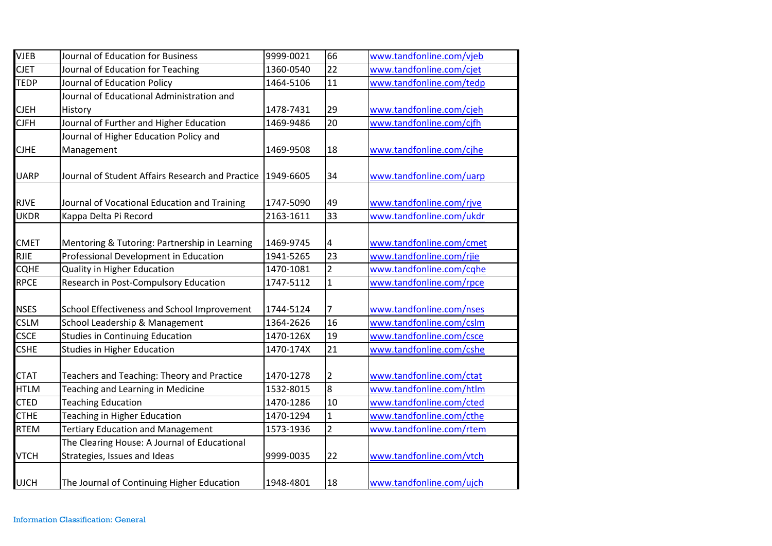| <b>VJEB</b> | Journal of Education for Business                                            | 9999-0021 | 66             | www.tandfonline.com/vjeb |
|-------------|------------------------------------------------------------------------------|-----------|----------------|--------------------------|
| <b>CJET</b> | Journal of Education for Teaching                                            | 1360-0540 | 22             | www.tandfonline.com/cjet |
| <b>TEDP</b> | Journal of Education Policy                                                  | 1464-5106 | 11             | www.tandfonline.com/tedp |
|             | Journal of Educational Administration and                                    |           |                |                          |
| <b>CJEH</b> | History                                                                      | 1478-7431 | 29             | www.tandfonline.com/cjeh |
| <b>CJFH</b> | Journal of Further and Higher Education                                      | 1469-9486 | 20             | www.tandfonline.com/cjfh |
|             | Journal of Higher Education Policy and                                       |           |                |                          |
| <b>CJHE</b> | Management                                                                   | 1469-9508 | 18             | www.tandfonline.com/cjhe |
| <b>UARP</b> | Journal of Student Affairs Research and Practice                             | 1949-6605 | 34             | www.tandfonline.com/uarp |
| <b>RJVE</b> | Journal of Vocational Education and Training                                 | 1747-5090 | 49             | www.tandfonline.com/rjve |
| <b>UKDR</b> | Kappa Delta Pi Record                                                        | 2163-1611 | 33             | www.tandfonline.com/ukdr |
| <b>CMET</b> | Mentoring & Tutoring: Partnership in Learning                                | 1469-9745 | 4              | www.tandfonline.com/cmet |
| <b>RJIE</b> | Professional Development in Education                                        | 1941-5265 | 23             | www.tandfonline.com/rjie |
| <b>CQHE</b> | <b>Quality in Higher Education</b>                                           | 1470-1081 | $\overline{2}$ | www.tandfonline.com/cqhe |
| <b>RPCE</b> | Research in Post-Compulsory Education                                        | 1747-5112 | $\mathbf{1}$   | www.tandfonline.com/rpce |
| <b>NSES</b> | School Effectiveness and School Improvement                                  | 1744-5124 | 7              | www.tandfonline.com/nses |
| <b>CSLM</b> | School Leadership & Management                                               | 1364-2626 | 16             | www.tandfonline.com/cslm |
| <b>CSCE</b> | <b>Studies in Continuing Education</b>                                       | 1470-126X | 19             | www.tandfonline.com/csce |
| <b>CSHE</b> | <b>Studies in Higher Education</b>                                           | 1470-174X | 21             | www.tandfonline.com/cshe |
| <b>CTAT</b> | Teachers and Teaching: Theory and Practice                                   | 1470-1278 | 2              | www.tandfonline.com/ctat |
| <b>HTLM</b> | Teaching and Learning in Medicine                                            | 1532-8015 | 8              | www.tandfonline.com/htlm |
| <b>CTED</b> | <b>Teaching Education</b>                                                    | 1470-1286 | 10             | www.tandfonline.com/cted |
| <b>CTHE</b> | <b>Teaching in Higher Education</b>                                          | 1470-1294 | $\mathbf{1}$   | www.tandfonline.com/cthe |
| <b>RTEM</b> | <b>Tertiary Education and Management</b>                                     | 1573-1936 | $\overline{2}$ | www.tandfonline.com/rtem |
| <b>VTCH</b> | The Clearing House: A Journal of Educational<br>Strategies, Issues and Ideas | 9999-0035 | 22             | www.tandfonline.com/vtch |
| <b>UJCH</b> | The Journal of Continuing Higher Education                                   | 1948-4801 | 18             | www.tandfonline.com/ujch |